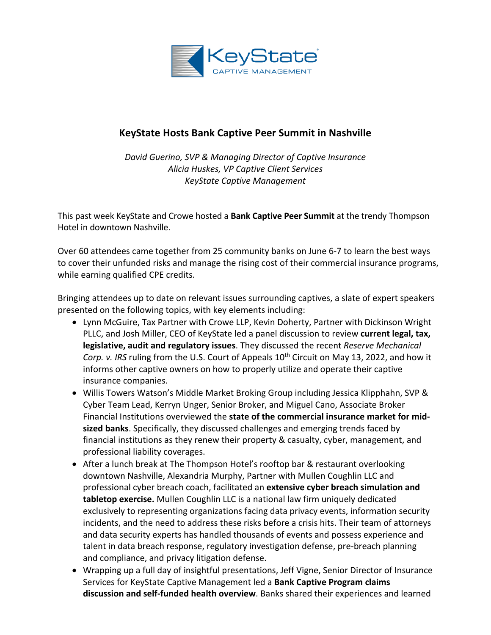

## **KeyState Hosts Bank Captive Peer Summit in Nashville**

*David Guerino, SVP & Managing Director of Captive Insurance Alicia Huskes, VP Captive Client Services KeyState Captive Management*

This past week KeyState and Crowe hosted a **Bank Captive Peer Summit** at the trendy Thompson Hotel in downtown Nashville.

Over 60 attendees came together from 25 community banks on June 6-7 to learn the best ways to cover their unfunded risks and manage the rising cost of their commercial insurance programs, while earning qualified CPE credits.

Bringing attendees up to date on relevant issues surrounding captives, a slate of expert speakers presented on the following topics, with key elements including:

- Lynn McGuire, Tax Partner with Crowe LLP, Kevin Doherty, Partner with Dickinson Wright PLLC, and Josh Miller, CEO of KeyState led a panel discussion to review **current legal, tax, legislative, audit and regulatory issues**. They discussed the recent *Reserve Mechanical Corp. v. IRS* ruling from the U.S. Court of Appeals 10<sup>th</sup> Circuit on May 13, 2022, and how it informs other captive owners on how to properly utilize and operate their captive insurance companies.
- Willis Towers Watson's Middle Market Broking Group including Jessica Klipphahn, SVP & Cyber Team Lead, Kerryn Unger, Senior Broker, and Miguel Cano, Associate Broker Financial Institutions overviewed the **state of the commercial insurance market for midsized banks**. Specifically, they discussed challenges and emerging trends faced by financial institutions as they renew their property & casualty, cyber, management, and professional liability coverages.
- After a lunch break at The Thompson Hotel's rooftop bar & restaurant overlooking downtown Nashville, Alexandria Murphy, Partner with Mullen Coughlin LLC and professional cyber breach coach, facilitated an **extensive cyber breach simulation and tabletop exercise.** Mullen Coughlin LLC is a national law firm uniquely dedicated exclusively to representing organizations facing data privacy events, information security incidents, and the need to address these risks before a crisis hits. Their team of attorneys and data security experts has handled thousands of events and possess experience and talent in data breach response, regulatory investigation defense, pre-breach planning and compliance, and privacy litigation defense.
- Wrapping up a full day of insightful presentations, Jeff Vigne, Senior Director of Insurance Services for KeyState Captive Management led a **Bank Captive Program claims discussion and self-funded health overview**. Banks shared their experiences and learned